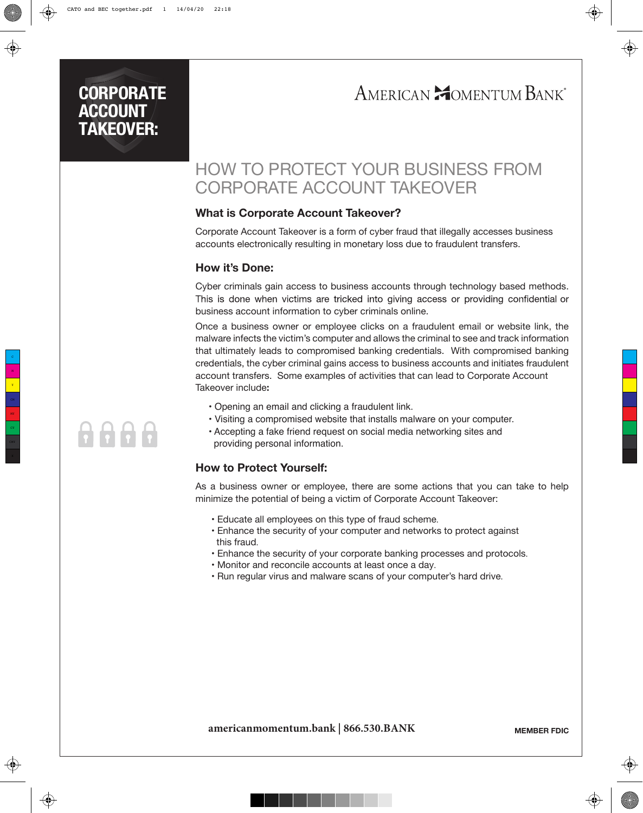### **CORPORATE ACCOUNT TAKEOVER:**

# AMERICAN **MOMENTUM BANK**

## HOW TO PROTECT YOUR BUSINESS FROM CORPORATE ACCOUNT TAKEOVER

### **What is Corporate Account Takeover?**

**What is Corporate Account Takeover?**<br>Corporate Account Takeover is a form of cyber fraud that illegally accesses business accounts electronically resulting in monetary loss due to fraudulent transfers.

### **How it's Done:**

**HOW It's DONE:**<br>Cyber criminals gain access to business accounts through technology based methods. business account information to cyber criminals online.

> Once a business owner or employee clicks on a fraudulent email or website link, the malware infects the victim's computer and allows the criminal to see and track information that ultimately leads to compromised banking credentials. With compromised banking credentials, the cyber criminal gains access to business accounts and initiates fraudulent account transfers. Some examples of activities that can lead to Corporate Account Takeover include**:**

- Opening an email and clicking a fraudulent link.
- Visiting a compromised website that installs malware on your computer.
- Accepting a fake friend request on social media networking sites and providing personal information.

### **How to Protect Yourself:**

As a business owner or employee, there are some actions that you can take to help minimize the potential of being a victim of Corporate Account Takeover:

- Educate all employees on this type of fraud scheme.
- Enhance the security of your computer and networks to protect against this fraud.
- Enhance the security of your corporate banking processes and protocols.
- Monitor and reconcile accounts at least once a day.
- Run regular virus and malware scans of your computer's hard drive.

# 8888

**americanmomentum.bank | 866.530.BANK**